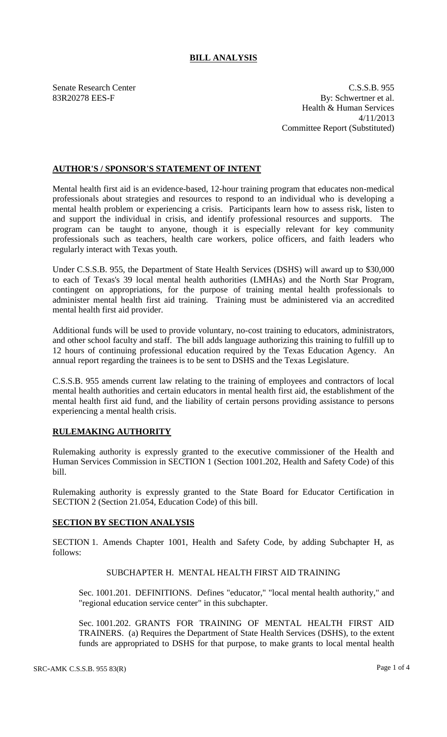## **BILL ANALYSIS**

Senate Research Center C.S.S.B. 955 83R20278 EES-F By: Schwertner et al. Health & Human Services 4/11/2013 Committee Report (Substituted)

### **AUTHOR'S / SPONSOR'S STATEMENT OF INTENT**

Mental health first aid is an evidence-based, 12-hour training program that educates non-medical professionals about strategies and resources to respond to an individual who is developing a mental health problem or experiencing a crisis. Participants learn how to assess risk, listen to and support the individual in crisis, and identify professional resources and supports. The program can be taught to anyone, though it is especially relevant for key community professionals such as teachers, health care workers, police officers, and faith leaders who regularly interact with Texas youth.

Under C.S.S.B. 955, the Department of State Health Services (DSHS) will award up to \$30,000 to each of Texas's 39 local mental health authorities (LMHAs) and the North Star Program, contingent on appropriations, for the purpose of training mental health professionals to administer mental health first aid training. Training must be administered via an accredited mental health first aid provider.

Additional funds will be used to provide voluntary, no-cost training to educators, administrators, and other school faculty and staff. The bill adds language authorizing this training to fulfill up to 12 hours of continuing professional education required by the Texas Education Agency. An annual report regarding the trainees is to be sent to DSHS and the Texas Legislature.

C.S.S.B. 955 amends current law relating to the training of employees and contractors of local mental health authorities and certain educators in mental health first aid, the establishment of the mental health first aid fund, and the liability of certain persons providing assistance to persons experiencing a mental health crisis.

# **RULEMAKING AUTHORITY**

Rulemaking authority is expressly granted to the executive commissioner of the Health and Human Services Commission in SECTION 1 (Section 1001.202, Health and Safety Code) of this bill.

Rulemaking authority is expressly granted to the State Board for Educator Certification in SECTION 2 (Section 21.054, Education Code) of this bill.

### **SECTION BY SECTION ANALYSIS**

SECTION 1. Amends Chapter 1001, Health and Safety Code, by adding Subchapter H, as follows:

### SUBCHAPTER H. MENTAL HEALTH FIRST AID TRAINING

Sec. 1001.201. DEFINITIONS. Defines "educator," "local mental health authority," and "regional education service center" in this subchapter.

Sec. 1001.202. GRANTS FOR TRAINING OF MENTAL HEALTH FIRST AID TRAINERS. (a) Requires the Department of State Health Services (DSHS), to the extent funds are appropriated to DSHS for that purpose, to make grants to local mental health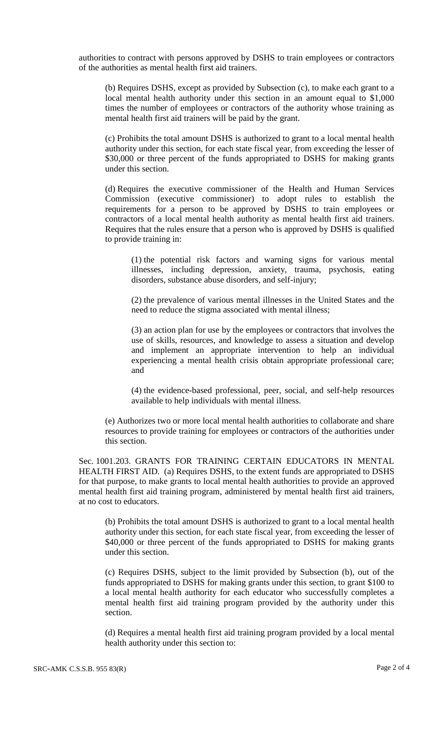authorities to contract with persons approved by DSHS to train employees or contractors of the authorities as mental health first aid trainers.

(b) Requires DSHS, except as provided by Subsection (c), to make each grant to a local mental health authority under this section in an amount equal to \$1,000 times the number of employees or contractors of the authority whose training as mental health first aid trainers will be paid by the grant.

(c) Prohibits the total amount DSHS is authorized to grant to a local mental health authority under this section, for each state fiscal year, from exceeding the lesser of \$30,000 or three percent of the funds appropriated to DSHS for making grants under this section.

(d) Requires the executive commissioner of the Health and Human Services Commission (executive commissioner) to adopt rules to establish the requirements for a person to be approved by DSHS to train employees or contractors of a local mental health authority as mental health first aid trainers. Requires that the rules ensure that a person who is approved by DSHS is qualified to provide training in:

(1) the potential risk factors and warning signs for various mental illnesses, including depression, anxiety, trauma, psychosis, eating disorders, substance abuse disorders, and self-injury;

(2) the prevalence of various mental illnesses in the United States and the need to reduce the stigma associated with mental illness;

(3) an action plan for use by the employees or contractors that involves the use of skills, resources, and knowledge to assess a situation and develop and implement an appropriate intervention to help an individual experiencing a mental health crisis obtain appropriate professional care; and

(4) the evidence-based professional, peer, social, and self-help resources available to help individuals with mental illness.

(e) Authorizes two or more local mental health authorities to collaborate and share resources to provide training for employees or contractors of the authorities under this section.

Sec. 1001.203. GRANTS FOR TRAINING CERTAIN EDUCATORS IN MENTAL HEALTH FIRST AID. (a) Requires DSHS, to the extent funds are appropriated to DSHS for that purpose, to make grants to local mental health authorities to provide an approved mental health first aid training program, administered by mental health first aid trainers, at no cost to educators.

(b) Prohibits the total amount DSHS is authorized to grant to a local mental health authority under this section, for each state fiscal year, from exceeding the lesser of \$40,000 or three percent of the funds appropriated to DSHS for making grants under this section.

(c) Requires DSHS, subject to the limit provided by Subsection (b), out of the funds appropriated to DSHS for making grants under this section, to grant \$100 to a local mental health authority for each educator who successfully completes a mental health first aid training program provided by the authority under this section.

(d) Requires a mental health first aid training program provided by a local mental health authority under this section to: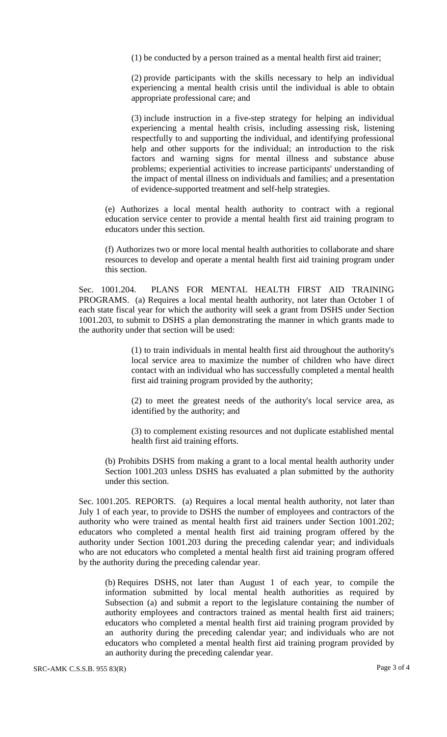(1) be conducted by a person trained as a mental health first aid trainer;

(2) provide participants with the skills necessary to help an individual experiencing a mental health crisis until the individual is able to obtain appropriate professional care; and

(3) include instruction in a five-step strategy for helping an individual experiencing a mental health crisis, including assessing risk, listening respectfully to and supporting the individual, and identifying professional help and other supports for the individual; an introduction to the risk factors and warning signs for mental illness and substance abuse problems; experiential activities to increase participants' understanding of the impact of mental illness on individuals and families; and a presentation of evidence-supported treatment and self-help strategies.

(e) Authorizes a local mental health authority to contract with a regional education service center to provide a mental health first aid training program to educators under this section.

(f) Authorizes two or more local mental health authorities to collaborate and share resources to develop and operate a mental health first aid training program under this section.

Sec. 1001.204. PLANS FOR MENTAL HEALTH FIRST AID TRAINING PROGRAMS. (a) Requires a local mental health authority, not later than October 1 of each state fiscal year for which the authority will seek a grant from DSHS under Section 1001.203, to submit to DSHS a plan demonstrating the manner in which grants made to the authority under that section will be used:

> (1) to train individuals in mental health first aid throughout the authority's local service area to maximize the number of children who have direct contact with an individual who has successfully completed a mental health first aid training program provided by the authority;

> (2) to meet the greatest needs of the authority's local service area, as identified by the authority; and

> (3) to complement existing resources and not duplicate established mental health first aid training efforts.

(b) Prohibits DSHS from making a grant to a local mental health authority under Section 1001.203 unless DSHS has evaluated a plan submitted by the authority under this section.

Sec. 1001.205. REPORTS. (a) Requires a local mental health authority, not later than July 1 of each year, to provide to DSHS the number of employees and contractors of the authority who were trained as mental health first aid trainers under Section 1001.202; educators who completed a mental health first aid training program offered by the authority under Section 1001.203 during the preceding calendar year; and individuals who are not educators who completed a mental health first aid training program offered by the authority during the preceding calendar year.

(b) Requires DSHS, not later than August 1 of each year, to compile the information submitted by local mental health authorities as required by Subsection (a) and submit a report to the legislature containing the number of authority employees and contractors trained as mental health first aid trainers; educators who completed a mental health first aid training program provided by an authority during the preceding calendar year; and individuals who are not educators who completed a mental health first aid training program provided by an authority during the preceding calendar year.